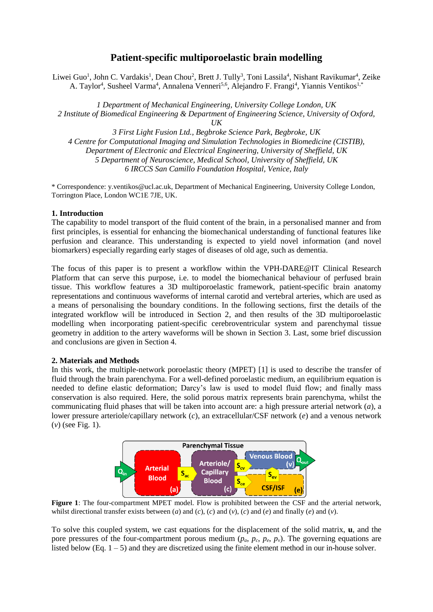# **Patient-specific multiporoelastic brain modelling**

Liwei Guo<sup>1</sup>, John C. Vardakis<sup>1</sup>, Dean Chou<sup>2</sup>, Brett J. Tully<sup>3</sup>, Toni Lassila<sup>4</sup>, Nishant Ravikumar<sup>4</sup>, Zeike A. Taylor<sup>4</sup>, Susheel Varma<sup>4</sup>, Annalena Venneri<sup>5,6</sup>, Alejandro F. Frangi<sup>4</sup>, Yiannis Ventikos<sup>1,\*</sup>

*1 Department of Mechanical Engineering, University College London, UK 2 Institute of Biomedical Engineering & Department of Engineering Science, University of Oxford, UK*

*3 First Light Fusion Ltd., Begbroke Science Park, Begbroke, UK 4 Centre for Computational Imaging and Simulation Technologies in Biomedicine (CISTIB), Department of Electronic and Electrical Engineering, University of Sheffield, UK 5 Department of Neuroscience, Medical School, University of Sheffield, UK 6 IRCCS San Camillo Foundation Hospital, Venice, Italy*

\* Correspondence: y.ventikos@ucl.ac.uk, Department of Mechanical Engineering, University College London, Torrington Place, London WC1E 7JE, UK.

## **1. Introduction**

The capability to model transport of the fluid content of the brain, in a personalised manner and from first principles, is essential for enhancing the biomechanical understanding of functional features like perfusion and clearance. This understanding is expected to yield novel information (and novel biomarkers) especially regarding early stages of diseases of old age, such as dementia.

The focus of this paper is to present a workflow within the VPH-DARE@IT Clinical Research Platform that can serve this purpose, i.e. to model the biomechanical behaviour of perfused brain tissue. This workflow features a 3D multiporoelastic framework, patient-specific brain anatomy representations and continuous waveforms of internal carotid and vertebral arteries, which are used as a means of personalising the boundary conditions. In the following sections, first the details of the integrated workflow will be introduced in Section 2, and then results of the 3D multiporoelastic modelling when incorporating patient-specific cerebroventricular system and parenchymal tissue geometry in addition to the artery waveforms will be shown in Section 3. Last, some brief discussion and conclusions are given in Section 4.

## **2. Materials and Methods**

In this work, the multiple-network poroelastic theory (MPET) [1] is used to describe the transfer of fluid through the brain parenchyma. For a well-defined poroelastic medium, an equilibrium equation is needed to define elastic deformation; Darcy's law is used to model fluid flow; and finally mass conservation is also required. Here, the solid porous matrix represents brain parenchyma, whilst the communicating fluid phases that will be taken into account are: a high pressure arterial network (*a*), a lower pressure arteriole/capillary network (*c*), an extracellular/CSF network (*e*) and a venous network (*v*) (see Fig. 1).



**Figure 1**: The four-compartment MPET model. Flow is prohibited between the CSF and the arterial network, whilst directional transfer exists between (*a*) and (*c*), (*c*) and (*v*), (*c*) and (*e*) and finally (*e*) and (*v*).

To solve this coupled system, we cast equations for the displacement of the solid matrix, **u**, and the pore pressures of the four-compartment porous medium  $(p_a, p_c, p_e, p_v)$ . The governing equations are listed below (Eq.  $1 - 5$ ) and they are discretized using the finite element method in our in-house solver.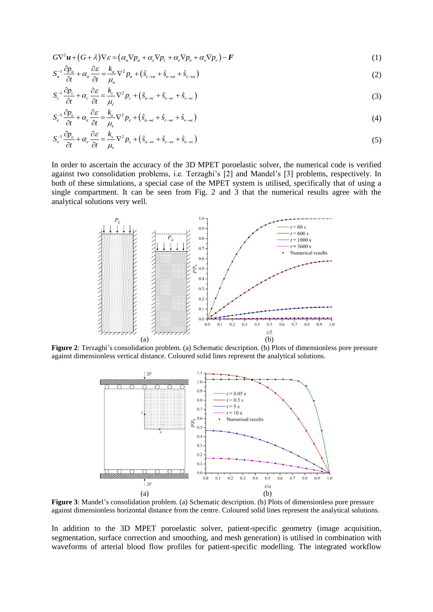$$
G\nabla^2 \boldsymbol{u} + (G + \lambda)\nabla \varepsilon = (\alpha_a \nabla p_a + \alpha_c \nabla p_c + \alpha_e \nabla p_e + \alpha_v \nabla p_v) - \boldsymbol{F}
$$
\n(1)

$$
G\nabla^2 \boldsymbol{u} + (G + \lambda)\nabla \varepsilon = (\alpha_a \nabla p_a + \alpha_c \nabla p_c + \alpha_e \nabla p_e + \alpha_v \nabla p_v) - \boldsymbol{F}
$$
  
\n
$$
S_a^{-1} \frac{\partial p_a}{\partial t} + \alpha_a \frac{\partial \varepsilon}{\partial t} = \frac{k_a}{\mu_a} \nabla^2 p_a + (\hat{s}_{c \to a} + \hat{s}_{e \to a} + \hat{s}_{v \to a})
$$
\n(2)

$$
S_c^{-1} \frac{\partial p_c}{\partial t} + \alpha_c \frac{\partial \varepsilon}{\partial t} = \frac{k_c}{\mu_c} \nabla^2 p_c + (\hat{s}_{a \to c} + \hat{s}_{e \to c} + \hat{s}_{v \to c})
$$
\n(2)

$$
S_c \frac{\partial t}{\partial t} + \alpha_e \frac{\partial \varepsilon}{\partial t} = \frac{k_e}{\mu_e} \nabla^2 p_e + (\hat{s}_{a \to e} + \hat{s}_{c \to e} + \hat{s}_{v \to c})
$$
\n
$$
S_e^{-1} \frac{\partial p_e}{\partial t} + \alpha_e \frac{\partial \varepsilon}{\partial t} = \frac{k_e}{\mu_e} \nabla^2 p_e + (\hat{s}_{a \to e} + \hat{s}_{c \to e} + \hat{s}_{v \to e})
$$
\n
$$
\tag{4}
$$

$$
S_{e} = \frac{\partial t}{\partial t} + \alpha_{e} \frac{\partial t}{\partial t} - \mu_{e} \frac{\partial \varepsilon}{\partial t} + \alpha_{\nu} \frac{\partial \varepsilon}{\partial t} = \frac{k_{\nu}}{\mu_{\nu}} \nabla^{2} p_{\nu} + (\hat{s}_{a \to \nu} + \hat{s}_{c \to \nu} + \hat{s}_{e \to \nu})
$$
\n
$$
(5)
$$

In order to ascertain the accuracy of the 3D MPET poroelastic solver, the numerical code is verified against two consolidation problems, i.e. Terzaghi's [2] and Mandel's [3] problems, respectively. In both of these simulations, a special case of the MPET system is utilised, specifically that of using a single compartment. It can be seen from Fig. 2 and 3 that the numerical results agree with the analytical solutions very well.



**Figure 2**: Terzaghi's consolidation problem. (a) Schematic description. (b) Plots of dimensionless pore pressure against dimensionless vertical distance. Coloured solid lines represent the analytical solutions.



**Figure 3**: Mandel's consolidation problem. (a) Schematic description. (b) Plots of dimensionless pore pressure against dimensionless horizontal distance from the centre. Coloured solid lines represent the analytical solutions.

In addition to the 3D MPET poroelastic solver, patient-specific geometry (image acquisition, segmentation, surface correction and smoothing, and mesh generation) is utilised in combination with waveforms of arterial blood flow profiles for patient-specific modelling. The integrated workflow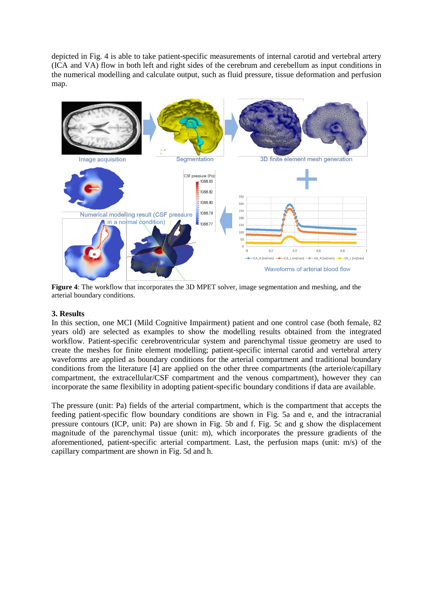depicted in Fig. 4 is able to take patient-specific measurements of internal carotid and vertebral artery (ICA and VA) flow in both left and right sides of the cerebrum and cerebellum as input conditions in the numerical modelling and calculate output, such as fluid pressure, tissue deformation and perfusion map.



**Figure 4**: The workflow that incorporates the 3D MPET solver, image segmentation and meshing, and the arterial boundary conditions.

## **3. Results**

In this section, one MCI (Mild Cognitive Impairment) patient and one control case (both female, 82 years old) are selected as examples to show the modelling results obtained from the integrated workflow. Patient-specific cerebroventricular system and parenchymal tissue geometry are used to create the meshes for finite element modelling; patient-specific internal carotid and vertebral artery waveforms are applied as boundary conditions for the arterial compartment and traditional boundary conditions from the literature [4] are applied on the other three compartments (the arteriole/capillary compartment, the extracellular/CSF compartment and the venous compartment), however they can incorporate the same flexibility in adopting patient-specific boundary conditions if data are available.

The pressure (unit: Pa) fields of the arterial compartment, which is the compartment that accepts the feeding patient-specific flow boundary conditions are shown in Fig. 5a and e, and the intracranial pressure contours (ICP, unit: Pa) are shown in Fig. 5b and f. Fig. 5c and g show the displacement magnitude of the parenchymal tissue (unit: m), which incorporates the pressure gradients of the aforementioned, patient-specific arterial compartment. Last, the perfusion maps (unit: m/s) of the capillary compartment are shown in Fig. 5d and h.